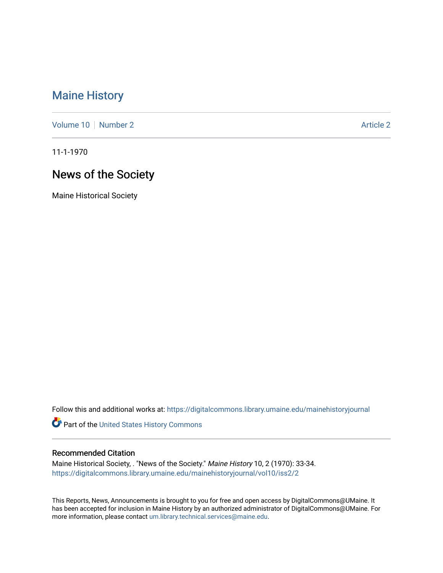## [Maine History](https://digitalcommons.library.umaine.edu/mainehistoryjournal)

[Volume 10](https://digitalcommons.library.umaine.edu/mainehistoryjournal/vol10) [Number 2](https://digitalcommons.library.umaine.edu/mainehistoryjournal/vol10/iss2) Article 2

11-1-1970

# News of the Society

Maine Historical Society

Follow this and additional works at: [https://digitalcommons.library.umaine.edu/mainehistoryjournal](https://digitalcommons.library.umaine.edu/mainehistoryjournal?utm_source=digitalcommons.library.umaine.edu%2Fmainehistoryjournal%2Fvol10%2Fiss2%2F2&utm_medium=PDF&utm_campaign=PDFCoverPages) 

Part of the [United States History Commons](http://network.bepress.com/hgg/discipline/495?utm_source=digitalcommons.library.umaine.edu%2Fmainehistoryjournal%2Fvol10%2Fiss2%2F2&utm_medium=PDF&utm_campaign=PDFCoverPages) 

#### Recommended Citation

Maine Historical Society, . "News of the Society." Maine History 10, 2 (1970): 33-34. [https://digitalcommons.library.umaine.edu/mainehistoryjournal/vol10/iss2/2](https://digitalcommons.library.umaine.edu/mainehistoryjournal/vol10/iss2/2?utm_source=digitalcommons.library.umaine.edu%2Fmainehistoryjournal%2Fvol10%2Fiss2%2F2&utm_medium=PDF&utm_campaign=PDFCoverPages)

This Reports, News, Announcements is brought to you for free and open access by DigitalCommons@UMaine. It has been accepted for inclusion in Maine History by an authorized administrator of DigitalCommons@UMaine. For more information, please contact [um.library.technical.services@maine.edu](mailto:um.library.technical.services@maine.edu).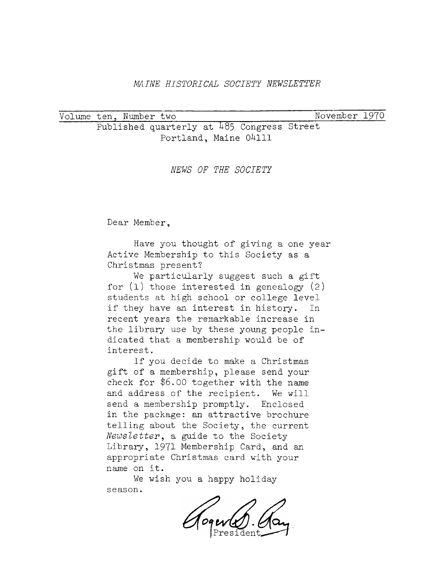#### *MAINE HISTORICAL SOCIETY NEWSLETTER*

Volume ten. Number two\_\_\_\_\_\_\_\_\_ \_\_\_\_\_\_\_\_\_\_\_\_\_\_\_\_ November 197Q Published quarterly at 485 Congress Street Portland, Maine 04111

*NEWS OF THE SOCIETY*

Dear Member,

Have you thought of giving a one year Active Membership to this Society as a Christmas present?

We particularly suggest such <sup>a</sup> gift for  $(1)$  those interested in genealogy  $(2)$ students at high school or college level if they have an interest in history. In recent years the remarkable increase in the library use by these young people indicated that <sup>a</sup> membership would be of interest.

If you decide to make <sup>a</sup> Christmas gift of <sup>a</sup> membership, please send your check for \$6.00 together with the name and address of the recipient. We will send a membership promptly. Enclosed in the package: an attractive brochure telling about the Society, the current *Newsletter,* a guide to the Society Library, 1971 Membership Card, and an appropriate Christmas card with your name on it.

We wish you a happy holiday season.